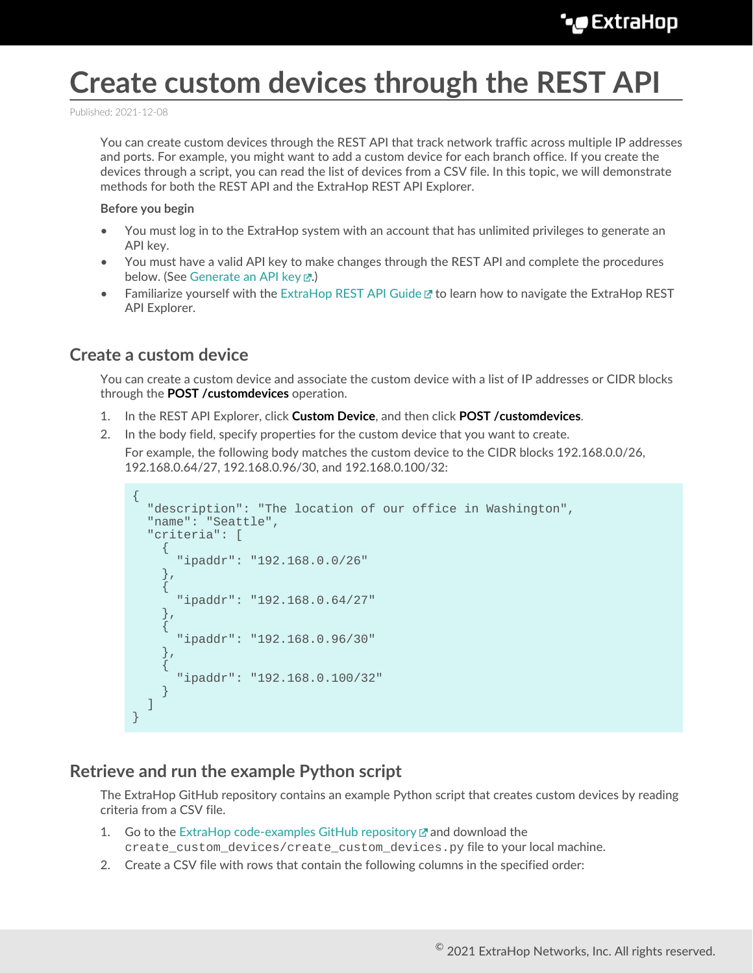# **Create custom devices through the REST API**

Published: 2021-12-08

You can create custom devices through the REST API that track network traffic across multiple IP addresses and ports. For example, you might want to add a custom device for each branch office. If you create the devices through a script, you can read the list of devices from a CSV file. In this topic, we will demonstrate methods for both the REST API and the ExtraHop REST API Explorer.

#### **Before you begin**

- You must log in to the ExtraHop system with an account that has unlimited privileges to generate an API key.
- You must have a valid API key to make changes through the REST API and complete the procedures below. (See [Generate an API key](https://docs.extrahop.com/8.7/rest-api-guide/#generate-an-api-key) ...)
- Familiarize yourself with the [ExtraHop REST API Guide](https://docs.extrahop.com/8.7/rest-api-guide) Extra How to navigate the ExtraHop REST API Explorer.

### **Create a custom device**

You can create a custom device and associate the custom device with a list of IP addresses or CIDR blocks through the **POST /customdevices** operation.

- 1. In the REST API Explorer, click **Custom Device**, and then click **POST /customdevices**.
- 2. In the body field, specify properties for the custom device that you want to create.

For example, the following body matches the custom device to the CIDR blocks 192.168.0.0/26, 192.168.0.64/27, 192.168.0.96/30, and 192.168.0.100/32:

```
{
     "description": "The location of our office in Washington",
     "name": "Seattle",
     "criteria": [
\left\{\begin{array}{c} \end{array}\right\} "ipaddr": "192.168.0.0/26"
\left\{\begin{array}{c}1\end{array}\right\} ,
\left\{\begin{array}{ccc} \end{array}\right\} "ipaddr": "192.168.0.64/27"
\left\{\begin{array}{c}1\end{array}\right\}\left\{\begin{array}{c} \end{array}\right\} "ipaddr": "192.168.0.96/30"
\left\{\begin{array}{c}1\end{array}\right\}\left\{\begin{array}{c} \end{array}\right\} "ipaddr": "192.168.0.100/32"
 }
     ]
}
```
### **Retrieve and run the example Python script**

The ExtraHop GitHub repository contains an example Python script that creates custom devices by reading criteria from a CSV file.

- 1. Go to the [ExtraHop code-examples GitHub repository](https://github.com/ExtraHop/code-examples/tree/main/create_custom_devices)  $\mathbb Z$  and download the create\_custom\_devices/create\_custom\_devices.py file to your local machine.
- 2. Create a CSV file with rows that contain the following columns in the specified order: